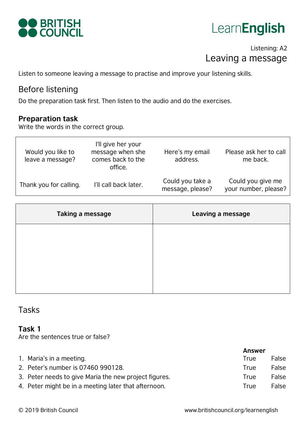

## LearnEnglish

## Listening: A2 Leaving a message

Listen to someone leaving a message to practise and improve your listening skills.

## Before listening

Do the preparation task first. Then listen to the audio and do the exercises.

#### **Preparation task**

Write the words in the correct group.

| Would you like to<br>leave a message? | I'll give her your<br>message when she<br>comes back to the<br>office. | Here's my email<br>address.          | Please ask her to call<br>me back.        |
|---------------------------------------|------------------------------------------------------------------------|--------------------------------------|-------------------------------------------|
| Thank you for calling.                | I'll call back later.                                                  | Could you take a<br>message, please? | Could you give me<br>your number, please? |

| Taking a message | Leaving a message |
|------------------|-------------------|
|                  |                   |
|                  |                   |
|                  |                   |

### Tasks

#### **Task 1**

Are the sentences true or false?

|                                                       | <b>Answer</b> |       |
|-------------------------------------------------------|---------------|-------|
| 1. Maria's in a meeting.                              | True          | False |
| 2. Peter's number is 07460 990128.                    | True          | False |
| 3. Peter needs to give Maria the new project figures. | True          | False |
| 4. Peter might be in a meeting later that afternoon.  | True          | False |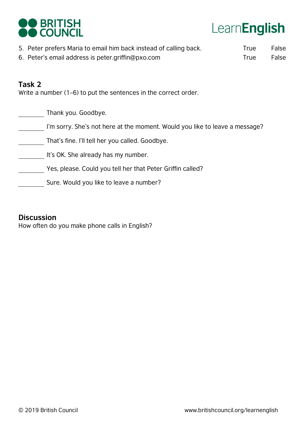

# LearnEnglish

- 5. Peter prefers Maria to email him back instead of calling back.
- 6. Peter's email address is peter.griffin@pxo.com

**True True** False False

### **Task 2**

Write a number (1–6) to put the sentences in the correct order.

Thank you. Goodbye.

I'm sorry. She's not here at the moment. Would you like to leave a message?

That's fine. I'll tell her you called. Goodbye.

- It's OK. She already has my number.
	- Yes, please. Could you tell her that Peter Griffin called?
- Sure. Would you like to leave a number?

#### **Discussion**

How often do you make phone calls in English?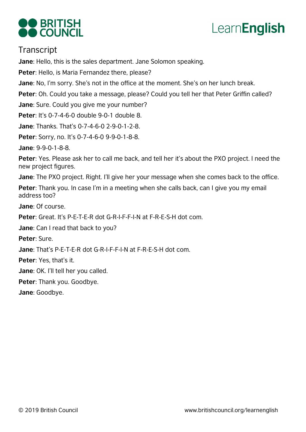



## **Transcript**

**Jane**: Hello, this is the sales department. Jane Solomon speaking.

**Peter**: Hello, is Maria Fernandez there, please?

**Jane**: No, I'm sorry. She's not in the office at the moment. She's on her lunch break.

**Peter**: Oh. Could you take a message, please? Could you tell her that Peter Griffin called?

**Jane**: Sure. Could you give me your number?

**Peter**: It's 0-7-4-6-0 double 9-0-1 double 8.

**Jane**: Thanks. That's 0-7-4-6-0 2-9-0-1-2-8.

**Peter**: Sorry, no. It's 0-7-4-6-0 9-9-0-1-8-8.

**Jane**: 9-9-0-1-8-8.

**Peter**: Yes. Please ask her to call me back, and tell her it's about the PXO project. I need the new project figures.

**Jane**: The PXO project. Right. I'll give her your message when she comes back to the office.

**Peter**: Thank you. In case I'm in a meeting when she calls back, can I give you my email address too?

**Jane**: Of course.

**Peter**: Great. It's P-E-T-E-R dot G-R-I-F-F-I-N at F-R-E-S-H dot com.

**Jane**: Can I read that back to you?

**Peter**: Sure.

**Jane**: That's P-E-T-E-R dot G-R-I-F-F-I-N at F-R-E-S-H dot com.

**Peter**: Yes, that's it.

**Jane**: OK. I'll tell her you called.

**Peter**: Thank you. Goodbye.

**Jane**: Goodbye.